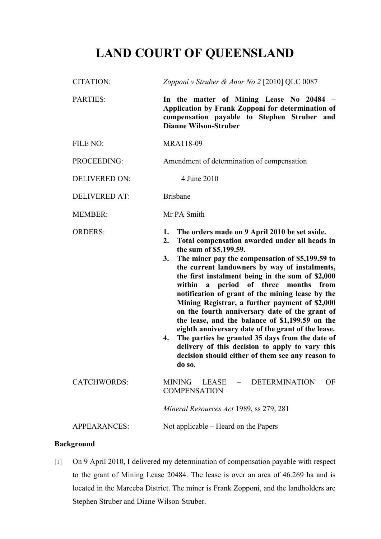# **LAND COURT OF QUEENSLAND**

| <b>CITATION:</b>     | Zopponi v Struber & Anor No 2 [2010] QLC 0087                                                                                                                                                                                                                                                                                                                                                                                                                                                                                                                                                                                                                                                                                                                                                                |
|----------------------|--------------------------------------------------------------------------------------------------------------------------------------------------------------------------------------------------------------------------------------------------------------------------------------------------------------------------------------------------------------------------------------------------------------------------------------------------------------------------------------------------------------------------------------------------------------------------------------------------------------------------------------------------------------------------------------------------------------------------------------------------------------------------------------------------------------|
| <b>PARTIES:</b>      | In the matter of Mining Lease No 20484 -<br>Application by Frank Zopponi for determination of<br>compensation payable to Stephen Struber and<br><b>Dianne Wilson-Struber</b>                                                                                                                                                                                                                                                                                                                                                                                                                                                                                                                                                                                                                                 |
| FILE NO:             | MRA118-09                                                                                                                                                                                                                                                                                                                                                                                                                                                                                                                                                                                                                                                                                                                                                                                                    |
| PROCEEDING:          | Amendment of determination of compensation                                                                                                                                                                                                                                                                                                                                                                                                                                                                                                                                                                                                                                                                                                                                                                   |
| <b>DELIVERED ON:</b> | 4 June 2010                                                                                                                                                                                                                                                                                                                                                                                                                                                                                                                                                                                                                                                                                                                                                                                                  |
| <b>DELIVERED AT:</b> | <b>Brisbane</b>                                                                                                                                                                                                                                                                                                                                                                                                                                                                                                                                                                                                                                                                                                                                                                                              |
| <b>MEMBER:</b>       | Mr PA Smith                                                                                                                                                                                                                                                                                                                                                                                                                                                                                                                                                                                                                                                                                                                                                                                                  |
| <b>ORDERS:</b>       | The orders made on 9 April 2010 be set aside.<br>1.<br>Total compensation awarded under all heads in<br>2.<br>the sum of \$5,199.59.<br>The miner pay the compensation of \$5,199.59 to<br>3.<br>the current landowners by way of instalments,<br>the first instalment being in the sum of \$2,000<br>period of three<br>within<br>months<br>from<br>$\mathbf{a}$<br>notification of grant of the mining lease by the<br>Mining Registrar, a further payment of \$2,000<br>on the fourth anniversary date of the grant of<br>the lease, and the balance of \$1,199.59 on the<br>eighth anniversary date of the grant of the lease.<br>The parties be granted 35 days from the date of<br>4.<br>delivery of this decision to apply to vary this<br>decision should either of them see any reason to<br>do so. |
| <b>CATCHWORDS:</b>   | <b>MINING</b><br><b>DETERMINATION</b><br><b>LEASE</b><br>OF                                                                                                                                                                                                                                                                                                                                                                                                                                                                                                                                                                                                                                                                                                                                                  |
|                      | <b>COMPENSATION</b>                                                                                                                                                                                                                                                                                                                                                                                                                                                                                                                                                                                                                                                                                                                                                                                          |
|                      | Mineral Resources Act 1989, ss 279, 281                                                                                                                                                                                                                                                                                                                                                                                                                                                                                                                                                                                                                                                                                                                                                                      |

# **Background**

[1] On 9 April 2010, I delivered my determination of compensation payable with respect to the grant of Mining Lease 20484. The lease is over an area of 46.269 ha and is located in the Mareeba District. The miner is Frank Zopponi, and the landholders are Stephen Struber and Diane Wilson-Struber.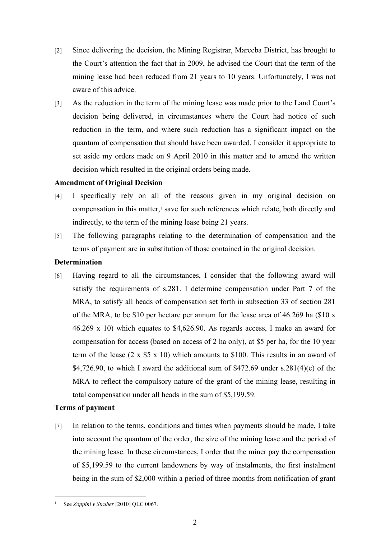- [2] Since delivering the decision, the Mining Registrar, Mareeba District, has brought to the Court's attention the fact that in 2009, he advised the Court that the term of the mining lease had been reduced from 21 years to 10 years. Unfortunately, I was not aware of this advice.
- [3] As the reduction in the term of the mining lease was made prior to the Land Court's decision being delivered, in circumstances where the Court had notice of such reduction in the term, and where such reduction has a significant impact on the quantum of compensation that should have been awarded, I consider it appropriate to set aside my orders made on 9 April 2010 in this matter and to amend the written decision which resulted in the original orders being made.

#### **Amendment of Original Decision**

- [4] I specifically rely on all of the reasons given in my original decision on compensation in this matter,<sup>1</sup> save for such references which relate, both directly and indirectly, to the term of the mining lease being 21 years.
- [5] The following paragraphs relating to the determination of compensation and the terms of payment are in substitution of those contained in the original decision.

#### **Determination**

[6] Having regard to all the circumstances, I consider that the following award will satisfy the requirements of s.281. I determine compensation under Part 7 of the MRA, to satisfy all heads of compensation set forth in subsection 33 of section 281 of the MRA, to be \$10 per hectare per annum for the lease area of 46.269 ha (\$10 x 46.269 x 10) which equates to \$4,626.90. As regards access, I make an award for compensation for access (based on access of 2 ha only), at \$5 per ha, for the 10 year term of the lease  $(2 \times $5 \times 10)$  which amounts to \$100. This results in an award of \$4,726.90, to which I award the additional sum of  $$472.69$  under s.281(4)(e) of the MRA to reflect the compulsory nature of the grant of the mining lease, resulting in total compensation under all heads in the sum of \$5,199.59.

## **Terms of payment**

[7] In relation to the terms, conditions and times when payments should be made, I take into account the quantum of the order, the size of the mining lease and the period of the mining lease. In these circumstances, I order that the miner pay the compensation of \$5,199.59 to the current landowners by way of instalments, the first instalment being in the sum of \$2,000 within a period of three months from notification of grant

<sup>1</sup> See *Zoppini v Struber* [2010] QLC 0067.